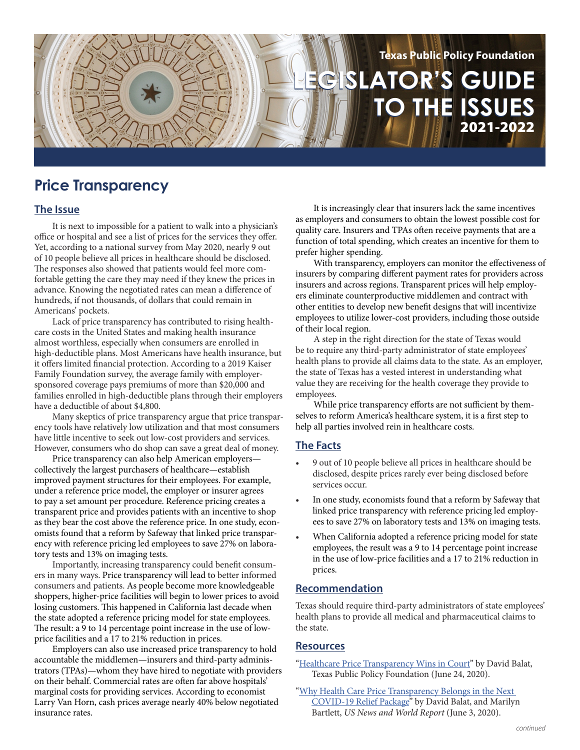# **LEGISLATOR'S GUIDE LEGISLATOR'S GUIDE TO THE ISSUES TO THE ISSUES Texas Public Policy Foundation** 2021-2022

## **Price Transparency**

### **The Issue**

It is next to impossible for a patient to walk into a physician's office or hospital and see a list of prices for the services they offer. Yet, according to a national survey from May 2020, nearly 9 out of 10 people believe all prices in healthcare should be disclosed. The responses also showed that patients would feel more comfortable getting the care they may need if they knew the prices in advance. Knowing the negotiated rates can mean a difference of hundreds, if not thousands, of dollars that could remain in Americans' pockets.

Lack of price transparency has contributed to rising healthcare costs in the United States and making health insurance almost worthless, especially when consumers are enrolled in high-deductible plans. Most Americans have health insurance, but it offers limited financial protection. According to a 2019 Kaiser Family Foundation survey, the average family with employersponsored coverage pays premiums of more than \$20,000 and families enrolled in high-deductible plans through their employers have a deductible of about \$4,800.

Many skeptics of price transparency argue that price transparency tools have relatively low utilization and that most consumers have little incentive to seek out low-cost providers and services. However, consumers who do shop can save a great deal of money.

Price transparency can also help American employers collectively the largest purchasers of healthcare—establish improved payment structures for their employees. For example, under a reference price model, the employer or insurer agrees to pay a set amount per procedure. Reference pricing creates a transparent price and provides patients with an incentive to shop as they bear the cost above the reference price. In one study, economists found that a reform by Safeway that linked price transparency with reference pricing led employees to save 27% on laboratory tests and 13% on imaging tests.

Importantly, increasing transparency could benefit consumers in many ways. Price transparency will lead to better informed consumers and patients. As people become more knowledgeable shoppers, higher-price facilities will begin to lower prices to avoid losing customers. This happened in California last decade when the state adopted a reference pricing model for state employees. The result: a 9 to 14 percentage point increase in the use of lowprice facilities and a 17 to 21% reduction in prices.

Employers can also use increased price transparency to hold accountable the middlemen—insurers and third-party administrators (TPAs)—whom they have hired to negotiate with providers on their behalf. Commercial rates are often far above hospitals' marginal costs for providing services. According to economist Larry Van Horn, cash prices average nearly 40% below negotiated insurance rates.

It is increasingly clear that insurers lack the same incentives as employers and consumers to obtain the lowest possible cost for quality care. Insurers and TPAs often receive payments that are a function of total spending, which creates an incentive for them to prefer higher spending.

With transparency, employers can monitor the effectiveness of insurers by comparing different payment rates for providers across insurers and across regions. Transparent prices will help employers eliminate counterproductive middlemen and contract with other entities to develop new benefit designs that will incentivize employees to utilize lower-cost providers, including those outside of their local region.

A step in the right direction for the state of Texas would be to require any third-party administrator of state employees' health plans to provide all claims data to the state. As an employer, the state of Texas has a vested interest in understanding what value they are receiving for the health coverage they provide to employees.

While price transparency efforts are not sufficient by themselves to reform America's healthcare system, it is a first step to help all parties involved rein in healthcare costs.

### **The Facts**

- 9 out of 10 people believe all prices in healthcare should be disclosed, despite prices rarely ever being disclosed before services occur.
- In one study, economists found that a reform by Safeway that linked price transparency with reference pricing led employees to save 27% on laboratory tests and 13% on imaging tests.
- When California adopted a reference pricing model for state employees, the result was a 9 to 14 percentage point increase in the use of low-price facilities and a 17 to 21% reduction in prices.

### **Recommendation**

Texas should require third-party administrators of state employees' health plans to provide all medical and pharmaceutical claims to the state.

#### **Resources**

- ["Healthcare Price Transparency Wins in Court](https://www.texaspolicy.com/healthcare-price-transparency-wins-in-court/)" by David Balat, Texas Public Policy Foundation (June 24, 2020).
- ["Why Health Care Price Transparency Belongs in the Next](https://www.texaspolicy.com/why-health-care-price-transparency-belongs-in-the-next-covid-19-relief-package/)  [COVID-19 Relief Package"](https://www.texaspolicy.com/why-health-care-price-transparency-belongs-in-the-next-covid-19-relief-package/) by David Balat, and Marilyn Bartlett, *US News and World Report* (June 3, 2020).